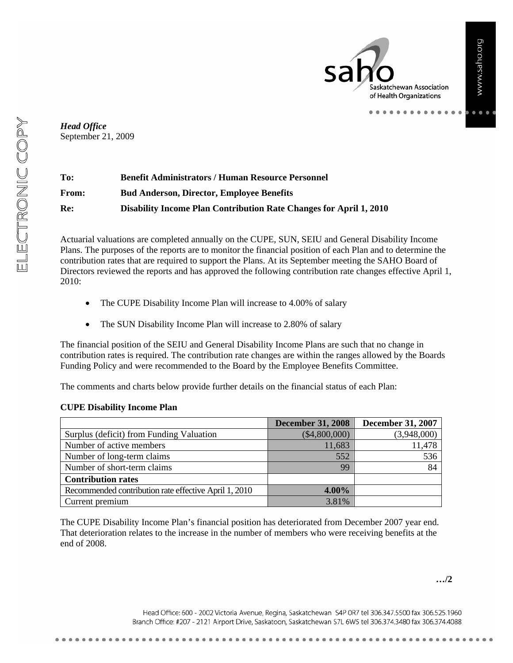Saskatchewan Association of Health Organizations

. . . . . . . .

*Head Office*  September 21, 2009

| To:          | <b>Benefit Administrators / Human Resource Personnel</b>                  |
|--------------|---------------------------------------------------------------------------|
| <b>From:</b> | <b>Bud Anderson, Director, Employee Benefits</b>                          |
| Re:          | <b>Disability Income Plan Contribution Rate Changes for April 1, 2010</b> |

Actuarial valuations are completed annually on the CUPE, SUN, SEIU and General Disability Income Plans. The purposes of the reports are to monitor the financial position of each Plan and to determine the contribution rates that are required to support the Plans. At its September meeting the SAHO Board of Directors reviewed the reports and has approved the following contribution rate changes effective April 1, 2010:

- The CUPE Disability Income Plan will increase to 4.00% of salary
- The SUN Disability Income Plan will increase to 2.80% of salary

The financial position of the SEIU and General Disability Income Plans are such that no change in contribution rates is required. The contribution rate changes are within the ranges allowed by the Boards Funding Policy and were recommended to the Board by the Employee Benefits Committee.

The comments and charts below provide further details on the financial status of each Plan:

#### **CUPE Disability Income Plan**

|                                                       | <b>December 31, 2008</b> | <b>December 31, 2007</b> |
|-------------------------------------------------------|--------------------------|--------------------------|
| Surplus (deficit) from Funding Valuation              | $(\$4,800,000)$          | (3,948,000)              |
| Number of active members                              | 11,683                   | 11,478                   |
| Number of long-term claims                            | 552                      | 536                      |
| Number of short-term claims                           | 99                       | 84                       |
| <b>Contribution rates</b>                             |                          |                          |
| Recommended contribution rate effective April 1, 2010 | $4.00\%$                 |                          |
| Current premium                                       | 3.81%                    |                          |

The CUPE Disability Income Plan's financial position has deteriorated from December 2007 year end. That deterioration relates to the increase in the number of members who were receiving benefits at the end of 2008.

Head Office: 600 - 2002 Victoria Avenue, Regina, Saskatchewan S4P 0R7 tel 306.347.5500 fax 306.525.1960 Branch Office: #207 - 2121 Airport Drive, Saskatoon, Saskatchewan S7L 6W5 tel 306.374.3480 fax 306.374.4088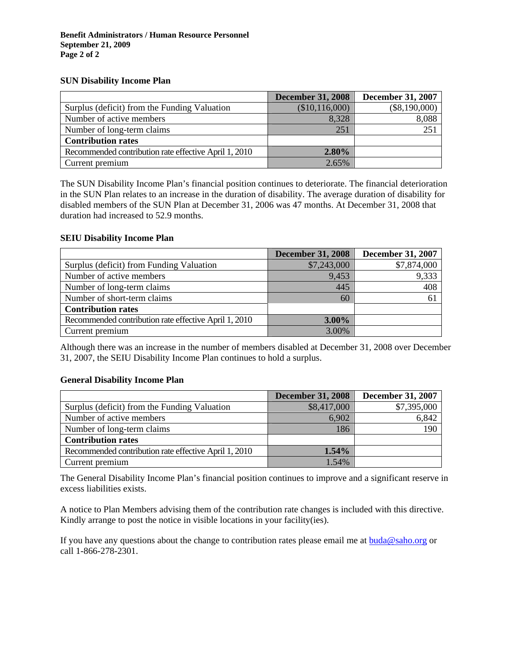#### **SUN Disability Income Plan**

|                                                       | <b>December 31, 2008</b> | <b>December 31, 2007</b> |
|-------------------------------------------------------|--------------------------|--------------------------|
| Surplus (deficit) from the Funding Valuation          | (\$10,116,000)           | $(\$8,190,000)$          |
| Number of active members                              | 8,328                    | 8,088                    |
| Number of long-term claims                            | 251                      | 251                      |
| <b>Contribution rates</b>                             |                          |                          |
| Recommended contribution rate effective April 1, 2010 | $2.80\%$                 |                          |
| Current premium                                       | 2.65%                    |                          |

The SUN Disability Income Plan's financial position continues to deteriorate. The financial deterioration in the SUN Plan relates to an increase in the duration of disability. The average duration of disability for disabled members of the SUN Plan at December 31, 2006 was 47 months. At December 31, 2008 that duration had increased to 52.9 months.

#### **SEIU Disability Income Plan**

|                                                       | <b>December 31, 2008</b> | <b>December 31, 2007</b> |
|-------------------------------------------------------|--------------------------|--------------------------|
| Surplus (deficit) from Funding Valuation              | \$7,243,000              | \$7,874,000              |
| Number of active members                              | 9,453                    | 9,333                    |
| Number of long-term claims                            | 445                      | 408                      |
| Number of short-term claims                           | 60                       | 61                       |
| <b>Contribution rates</b>                             |                          |                          |
| Recommended contribution rate effective April 1, 2010 | $3.00\%$                 |                          |
| Current premium                                       | 3.00%                    |                          |

Although there was an increase in the number of members disabled at December 31, 2008 over December 31, 2007, the SEIU Disability Income Plan continues to hold a surplus.

#### **General Disability Income Plan**

|                                                       | <b>December 31, 2008</b> | <b>December 31, 2007</b> |
|-------------------------------------------------------|--------------------------|--------------------------|
| Surplus (deficit) from the Funding Valuation          | \$8,417,000              | \$7,395,000              |
| Number of active members                              | 6,902                    | 6,842                    |
| Number of long-term claims                            | 186                      | 190                      |
| <b>Contribution rates</b>                             |                          |                          |
| Recommended contribution rate effective April 1, 2010 | 1.54%                    |                          |
| Current premium                                       | 1.54%                    |                          |

The General Disability Income Plan's financial position continues to improve and a significant reserve in excess liabilities exists.

A notice to Plan Members advising them of the contribution rate changes is included with this directive. Kindly arrange to post the notice in visible locations in your facility(ies).

If you have any questions about the change to contribution rates please email me at buda@saho.org or call 1-866-278-2301.